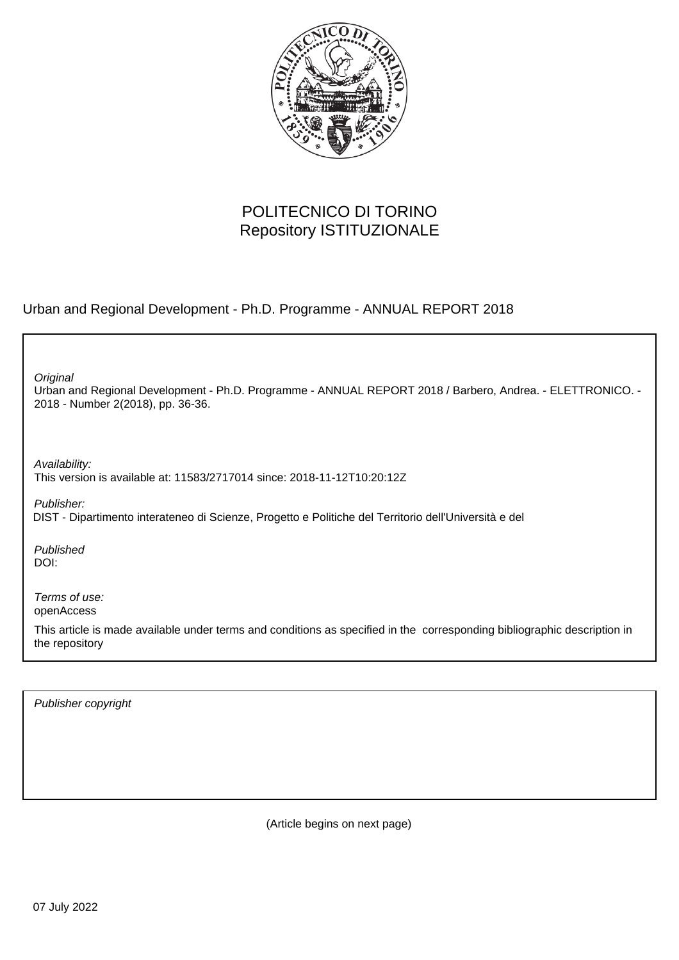

# POLITECNICO DI TORINO Repository ISTITUZIONALE

Urban and Regional Development - Ph.D. Programme - ANNUAL REPORT 2018

Urban and Regional Development - Ph.D. Programme - ANNUAL REPORT 2018 / Barbero, Andrea. - ELETTRONICO. - 2018 - Number 2(2018), pp. 36-36. **Original** Publisher: Published DOI: Terms of use: openAccess This article is made available under terms and conditions as specified in the corresponding bibliographic description in the repository Availability: This version is available at: 11583/2717014 since: 2018-11-12T10:20:12Z DIST - Dipartimento interateneo di Scienze, Progetto e Politiche del Territorio dell'Università e del

Publisher copyright

(Article begins on next page)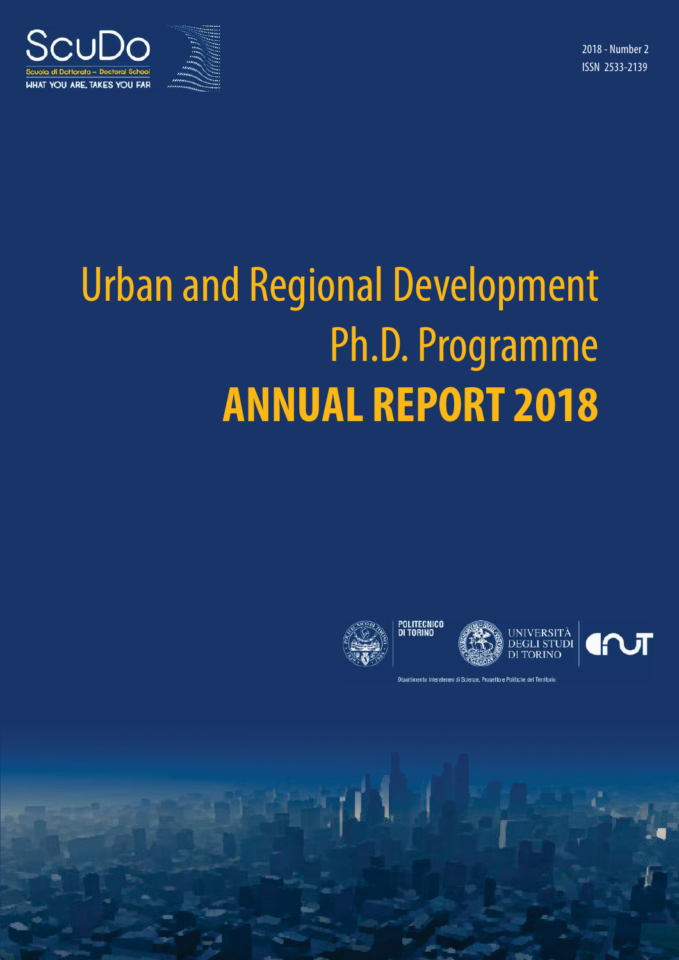**ANNUAL REPORT 2018** 2018 - Number 2 ISSN 2533-2139



# Urban and Regional Development Ph.D. Programme **ANNUAL REPORT 2018**









eo di Scienze, Progetto e Politiche del Territorio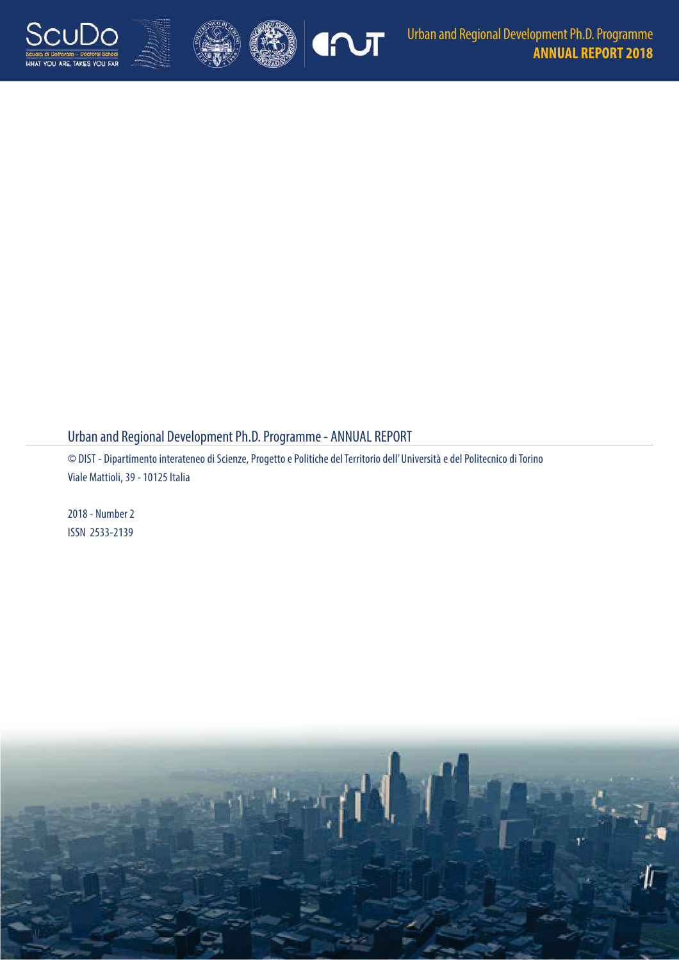





# Urban and Regional Development Ph.D. Programme - ANNUAL REPORT

© DIST - Dipartimento interateneo di Scienze, Progetto e Politiche del Territorio dell' Università e del Politecnico di Torino Viale Mattioli, 39 - 10125 Italia

2018 - Number 2 ISSN 2533-2139

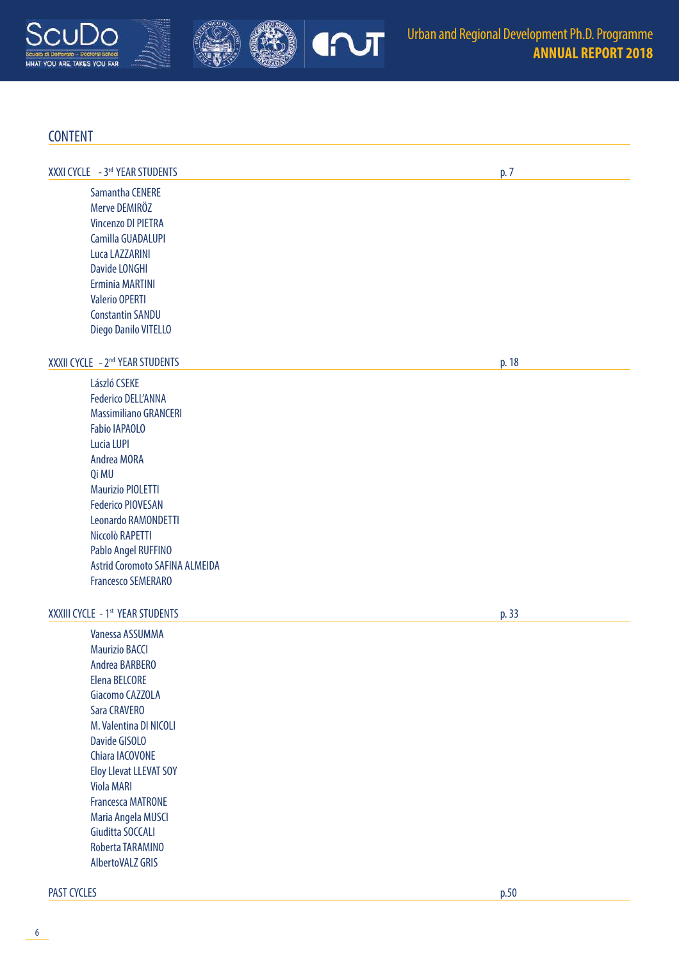





### CONTENT

| XXXI CYCLE - 3rd YEAR STUDENTS |  |
|--------------------------------|--|
|                                |  |

Samantha CENERE Merve DEMIRÖZ Vincenzo DI PIETRA Camilla GUADALUPI Luca LAZZARINI Davide LONGHI Erminia MARTINI Valerio OPERTI Constantin SANDU Diego Danilo VITELLO

#### XXXII CYCLE - 2<sup>nd</sup> YEAR STUDENTS p. 18

László CSEKE Federico DELL'ANNA Massimiliano GRANCERI Fabio IAPAOLO Lucia LUPI Andrea MORA Qi MU Maurizio PIOLETTI Federico PIOVESAN Leonardo RAMONDETTI Niccolò RAPETTI Pablo Angel RUFFINO Astrid Coromoto SAFINA ALMEIDA Francesco SEMERARO

#### XXXIII CYCLE - 1<sup>st</sup> YEAR STUDENTS p. 33

Vanessa ASSUMMA Maurizio BACCI Andrea BARBERO Elena BELCORE Giacomo CAZZOLA Sara CRAVERO M. Valentina DI NICOLI Davide GISOLO Chiara IACOVONE Eloy Llevat LLEVAT SOY Viola MARI Francesca MATRONE Maria Angela MUSCI Giuditta SOCCALI Roberta TARAMINO AlbertoVALZ GRIS

PAST CYCLES **p.50** 

6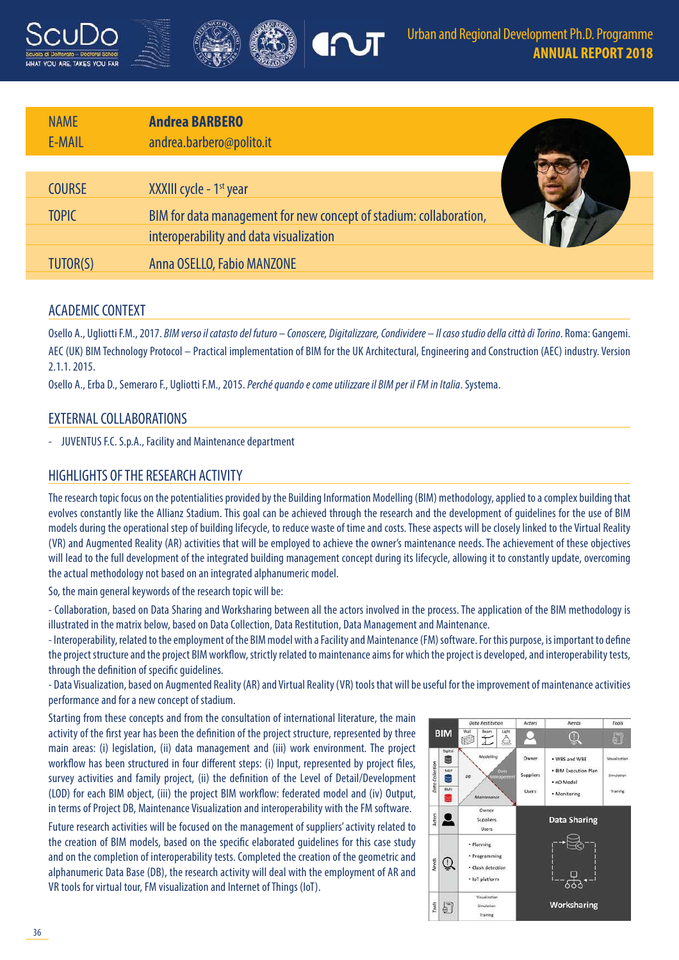





| <b>NAME</b><br><b>E-MAIL</b> | <b>Andrea BARBERO</b><br>andrea.barbero@polito.it                  |  |
|------------------------------|--------------------------------------------------------------------|--|
|                              |                                                                    |  |
| <b>COURSE</b>                | XXXIII cycle - 1 <sup>st</sup> year                                |  |
| <b>TOPIC</b>                 | BIM for data management for new concept of stadium: collaboration, |  |
|                              | interoperability and data visualization                            |  |
| TUTOR(S)                     | Anna OSELLO, Fabio MANZONE                                         |  |

## ACADEMIC CONTEXT

Osello A., Ugliotti F.M., 2017. BIM verso il catasto del futuro – Conoscere, Digitalizzare, Condividere – Il caso studio della città di Torino. Roma: Gangemi. AEC (UK) BIM Technology Protocol – Practical implementation of BIM for the UK Architectural, Engineering and Construction (AEC) industry. Version 2.1.1. 2015.

Osello A., Erba D., Semeraro F., Ugliotti F.M., 2015. Perché quando e come utilizzare il BIM per il FM in Italia. Systema.

## EXTERNAL COLLABORATIONS

- JUVENTUS F.C. S.p.A., Facility and Maintenance department

# HIGHLIGHTS OF THE RESEARCH ACTIVITY

The research topic focus on the potentialities provided by the Building Information Modelling (BIM) methodology, applied to a complex building that evolves constantly like the Allianz Stadium. This goal can be achieved through the research and the development of guidelines for the use of BIM models during the operational step of building lifecycle, to reduce waste of time and costs. These aspects will be closely linked to the Virtual Reality (VR) and Augmented Reality (AR) activities that will be employed to achieve the owner's maintenance needs. The achievement of these objectives will lead to the full development of the integrated building management concept during its lifecycle, allowing it to constantly update, overcoming the actual methodology not based on an integrated alphanumeric model.

So, the main general keywords of the research topic will be:

- Collaboration, based on Data Sharing and Worksharing between all the actors involved in the process. The application of the BIM methodology is illustrated in the matrix below, based on Data Collection, Data Restitution, Data Management and Maintenance.

- Interoperability, related to the employment of the BIM model with a Facility and Maintenance (FM) software. For this purpose, is important to define the project structure and the project BIM workflow, strictly related to maintenance aims for which the project is developed, and interoperability tests, through the definition of specific guidelines.

- Data Visualization, based on Augmented Reality (AR) and Virtual Reality (VR) tools that will be useful for the improvement of maintenance activities performance and for a new concept of stadium.

Starting from these concepts and from the consultation of international literature, the main activity of the first year has been the definition of the project structure, represented by three main areas: (i) legislation, (ii) data management and (iii) work environment. The project workflow has been structured in four different steps: (i) Input, represented by project files, survey activities and family project, (ii) the definition of the Level of Detail/Development (LOD) for each BIM object, (iii) the project BIM workflow: federated model and (iv) Output, in terms of Project DB, Maintenance Visualization and interoperability with the FM software.

Future research activities will be focused on the management of suppliers' activity related to the creation of BIM models, based on the specific elaborated guidelines for this case study and on the completion of interoperability tests. Completed the creation of the geometric and alphanumeric Data Base (DB), the research activity will deal with the employment of AR and VR tools for virtual tour, FM visualization and Internet of Things (IoT).